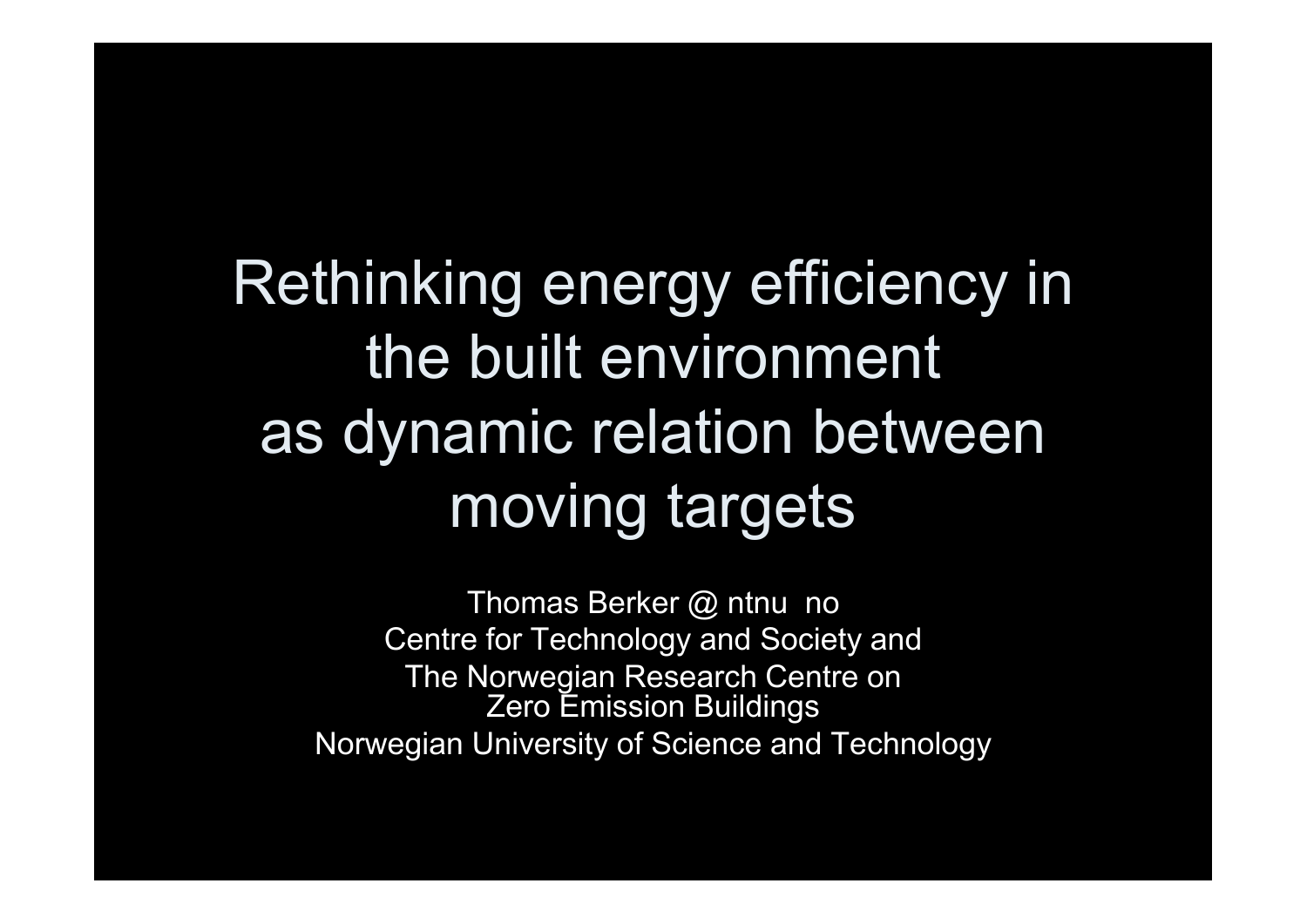## Rethinking energy efficiency in the built environment as dynamic relation between moving targets

Thomas Berker @ ntnu no Centre for Technology and Society and The Norwegian Research Centre on Zero Emission Buildings Norwegian University of Science and Technology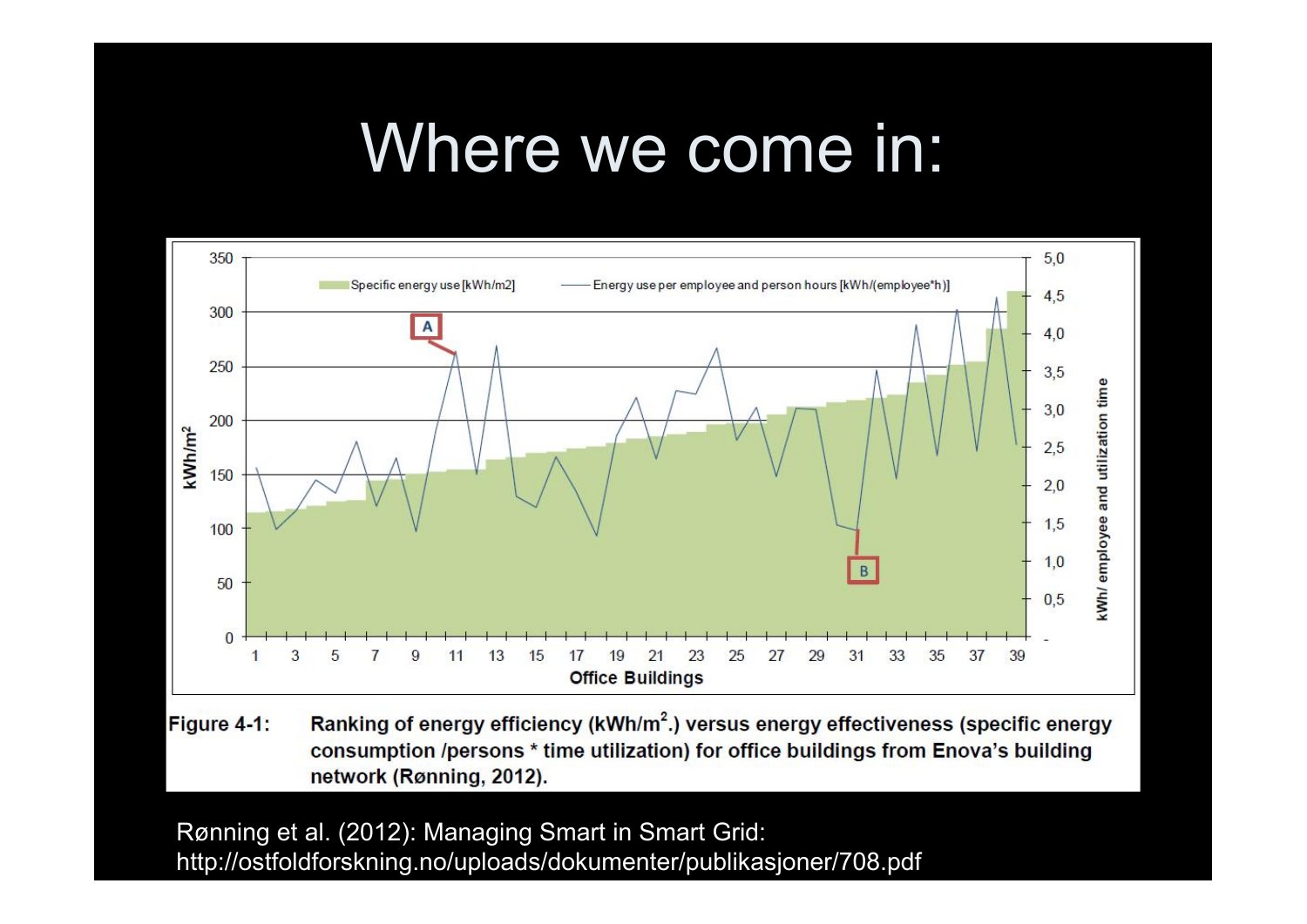### Where we come in:



Ranking of energy efficiency (kWh/m<sup>2</sup>.) versus energy effectiveness (specific energy Figure 4-1: consumption /persons \* time utilization) for office buildings from Enova's building network (Rønning, 2012).

Rønning et al. (2012): Managing Smart in Smart Grid: http://ostfoldforskning.no/uploads/dokumenter/publikasjoner/708.pdf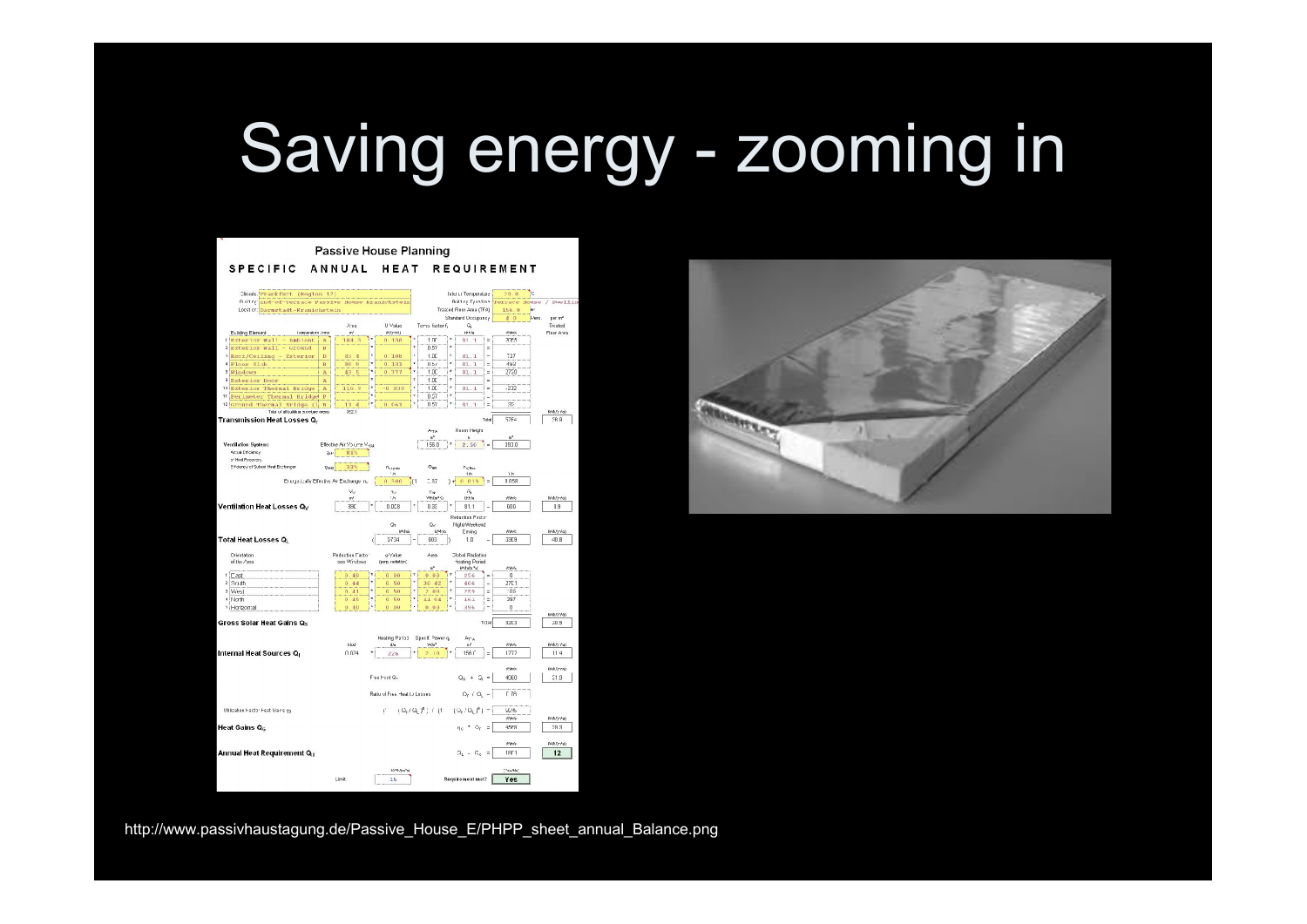# Saving energy - zooming in

|                                                                        |                                                 | <b>Passive House Planning</b>    |                                        |                                       |                                 |                        |
|------------------------------------------------------------------------|-------------------------------------------------|----------------------------------|----------------------------------------|---------------------------------------|---------------------------------|------------------------|
| <b>SPECIFIC</b>                                                        | ANNUAL                                          | HEAT                             |                                        | <b>REQUIREMENT</b>                    |                                 |                        |
| Climate. Frankfurt (Region 12)                                         |                                                 |                                  |                                        | Inter or Temperature                  | 20.0<br>ŀс                      |                        |
| Rillrgiand-of-rerrace Passive House Kranichstein                       |                                                 |                                  |                                        |                                       | Briling Tynalisa geograde House | $/$ DW011in            |
| Locator: Darmstadt-Kranichstein                                        |                                                 |                                  |                                        | Traated Floor Area (TFA)              | 156.0<br>$\cdot$                |                        |
|                                                                        |                                                 |                                  |                                        | Standard Occupancy                    | 4.0                             | <b>Parc</b><br>per mif |
|                                                                        | Area                                            | U Value                          | Temp. factor f                         | G                                     |                                 | Treated                |
| Euilding Element<br>Lempreshura /cma                                   | m.<br>R                                         | excrise)                         | 10 <sup>2</sup>                        | <b>IFF</b> A                          | mine<br>2055                    | Floor Area             |
| i Exterior Wall<br>Ambient<br>Exterior Wall - Ground<br>$\overline{2}$ | $\overline{A}$<br>184<br>B                      | 0.138                            | 0.57                                   | 81.1<br>Ė<br>è<br>$\overline{a}$      |                                 |                        |
| Root/Ceiling - Exterior                                                | $\mathbf{D}$<br>83<br>$\overline{a}$            | 0.108                            | 1.00                                   | ă<br>81.1                             | 727                             |                        |
| * Floor Slab                                                           | B<br>30<br>$\overline{9}$                       | $\mathbf{0}$<br>131              | U.br                                   | z<br>81.1<br>à.                       | 483                             |                        |
| B Windows                                                              | 43<br>$\overline{\mathbf{5}}$<br>$\overline{A}$ | ×<br>$\overline{0}$<br>777       | 1 <sup>0</sup>                         | z<br>81.1<br>×.                       | 2730                            |                        |
| a<br><b>Exterior Door</b>                                              | $\mathbbm{A}$                                   |                                  | 1.00                                   | ż<br>ä                                |                                 |                        |
| 10<br><b>Exterior Thermal Bridge</b>                                   | 9<br>$\overline{\mathbf{A}}$<br>116             | ż<br>$-0$<br>030                 | ś<br>100                               | ż<br>ä,<br>81.1                       | .272                            |                        |
| <sup>11</sup> Perimeter Thermal Bridge                                 | $\overline{P}$                                  |                                  | 0.57                                   |                                       |                                 |                        |
| Ground Thermal Bridge (1)<br>12                                        | $\overline{B}$<br>TT.<br>$\overline{A}$         | $\alpha$ .<br>0.61               | 0.57                                   | R1<br>÷<br>$\overline{1}$             | 35                              |                        |
| Total of all building providige areas:<br>Transmission Heat Losses Q.  | 3521                                            |                                  |                                        | Tulul                                 | <b>S7F4</b>                     | WAV.rist<br>58.9       |
|                                                                        |                                                 |                                  |                                        |                                       |                                 |                        |
|                                                                        |                                                 |                                  | Anta<br>er <sup>3</sup>                | Room Height<br>$\mathbf{a}$           | or <sup>x</sup>                 |                        |
| <b>Ventilation System:</b>                                             | Effective Air Volume Vasa                       |                                  | 156.0                                  | $\blacksquare$<br>2.50                | 397.0                           |                        |
| Actual Estimology                                                      | 813<br>and.                                     |                                  |                                        |                                       |                                 |                        |
| of Hoat Pompyon<br>Efficiency of Subset Heat Exchanger                 |                                                 |                                  |                                        |                                       |                                 |                        |
|                                                                        | 33%<br>Фик                                      | $n_{visite}$<br>'n               | <b>This</b>                            | FV.Res<br>1/2                         | 1.35                            |                        |
|                                                                        | Energetizally Effective Air Exchange in,        | 0.500                            | 1.87<br>и                              | H<br>0.019<br>÷                       | 0.058                           |                        |
|                                                                        | Vu                                              | $\gamma_{\rm J}$                 | Cos-                                   | G,                                    |                                 |                        |
|                                                                        | ni                                              | $\Delta$                         | We An FC                               | 1956                                  | meno                            | W/M(n/o)               |
| Ventilation Heat Losses Q <sub>v</sub>                                 | 39C                                             | 0.058                            | 0.33                                   | 81.1                                  | 600                             | 3.9                    |
|                                                                        |                                                 |                                  |                                        | Reduction Facto                       |                                 |                        |
|                                                                        |                                                 | 0r                               | Gv.                                    | Nicht/Weekend                         |                                 |                        |
|                                                                        |                                                 |                                  |                                        |                                       |                                 |                        |
|                                                                        |                                                 | MAN                              | KAF/a                                  | Esving                                | mento                           | WACn <sup>3</sup> o)   |
| <b>Total Heat Losses Q</b>                                             |                                                 | 5734                             | 603                                    | 1 <sub>0</sub>                        | 33E9                            | 40.8                   |
| Orientation                                                            | Reduction Factor                                | g-Value                          | Álea                                   | <b>Global Radiation</b>               |                                 |                        |
| of the Area                                                            | opp Windows                                     | (perp. recletion)                |                                        | Hoating Poriod                        |                                 |                        |
|                                                                        |                                                 |                                  | or*                                    | kmzutnihat                            | even                            |                        |
| 1 Cast<br>$\overline{a}$                                               | 40<br>θ.                                        | 0 <sub>0</sub><br>$\alpha$       | 0.00                                   | 256<br>i.                             | $\theta$                        |                        |
| South<br>3 West                                                        | ο.<br>44<br>$\Omega$<br>41                      | 50<br>$\Omega$<br>$\Omega$<br>50 | 30<br>42<br>$\gamma$<br>0 <sub>0</sub> | 406<br>i.<br>×<br>259<br>Ξ            | 2701<br>105                     |                        |
| * North                                                                | 0.45                                            | Ÿ,<br>50<br>$\mathbf{0}$         | 11 04                                  | $\lambda$<br>161<br>E                 | 397                             |                        |
| · Horizontal                                                           | 0.10                                            | $\mathbf{U}$<br>00               | 0.00                                   | 396                                   | $\bf{0}$                        |                        |
|                                                                        |                                                 |                                  |                                        |                                       |                                 | Williams               |
| Gross Solar Heat Gains Qs                                              |                                                 |                                  |                                        | Total                                 | 32C3                            | 20.5                   |
|                                                                        |                                                 |                                  |                                        |                                       |                                 |                        |
|                                                                        | klud                                            | <b>Heating Pariad</b><br>d/s     | Specif. Power a.<br><b>Video</b>       | $\mathbb{A}_{T^*\mathbb{A}}$<br>шů    | own                             | Wildfield              |
| Internal Heat Sources Q                                                | n n 24                                          | 226                              | 2.10                                   | 156 F<br>Ξ                            | 1777                            | 114                    |
|                                                                        |                                                 |                                  |                                        |                                       |                                 |                        |
|                                                                        |                                                 |                                  |                                        |                                       | come                            | <b>WeVnrai</b>         |
|                                                                        |                                                 | Free Heat Qr                     |                                        | $Q_8 + Q_1 =$                         | 4980                            | 51.8                   |
|                                                                        |                                                 |                                  |                                        |                                       |                                 |                        |
|                                                                        |                                                 | Ratio of Free, Heat to Losses    |                                        | $\Omega_{\rm F}$ / $\Omega_{\rm L}$ = | 0.78                            |                        |
| Utilization Hactor Hest Gaine the                                      |                                                 | T.                               |                                        |                                       | Mz%                             |                        |
|                                                                        |                                                 |                                  | $1 Q_1 / Q_1 f$ ; $1$ (1)              | $(Q_{1} / Q_{1})^{6}$ ) -             | <b>AMA</b> da                   | W/M/n <sup>2</sup> a)  |
| <b>Heat Gains Qc</b>                                                   |                                                 |                                  |                                        |                                       | 45FR                            | 59.3                   |
|                                                                        |                                                 |                                  |                                        | $\eta_0$ = $\Omega_t$ =               |                                 |                        |
|                                                                        |                                                 |                                  |                                        |                                       | asee                            | Wih(n <sup>2</sup> a)  |
| Annual Heat Requirement Q <sub>u</sub>                                 |                                                 |                                  |                                        | $\Omega_{\rm L} = \Omega_{\rm C} =$   | 1801                            | 12                     |
|                                                                        |                                                 |                                  |                                        |                                       |                                 |                        |
|                                                                        |                                                 | KAM-Am <sup>3</sup> a)           |                                        |                                       | (YearNo)                        |                        |
|                                                                        | Limit                                           | 15                               |                                        | Requirement met?                      | Yes                             |                        |



http://www.passivhaustagung.de/Passive\_House\_E/PHPP\_sheet\_annual\_Balance.png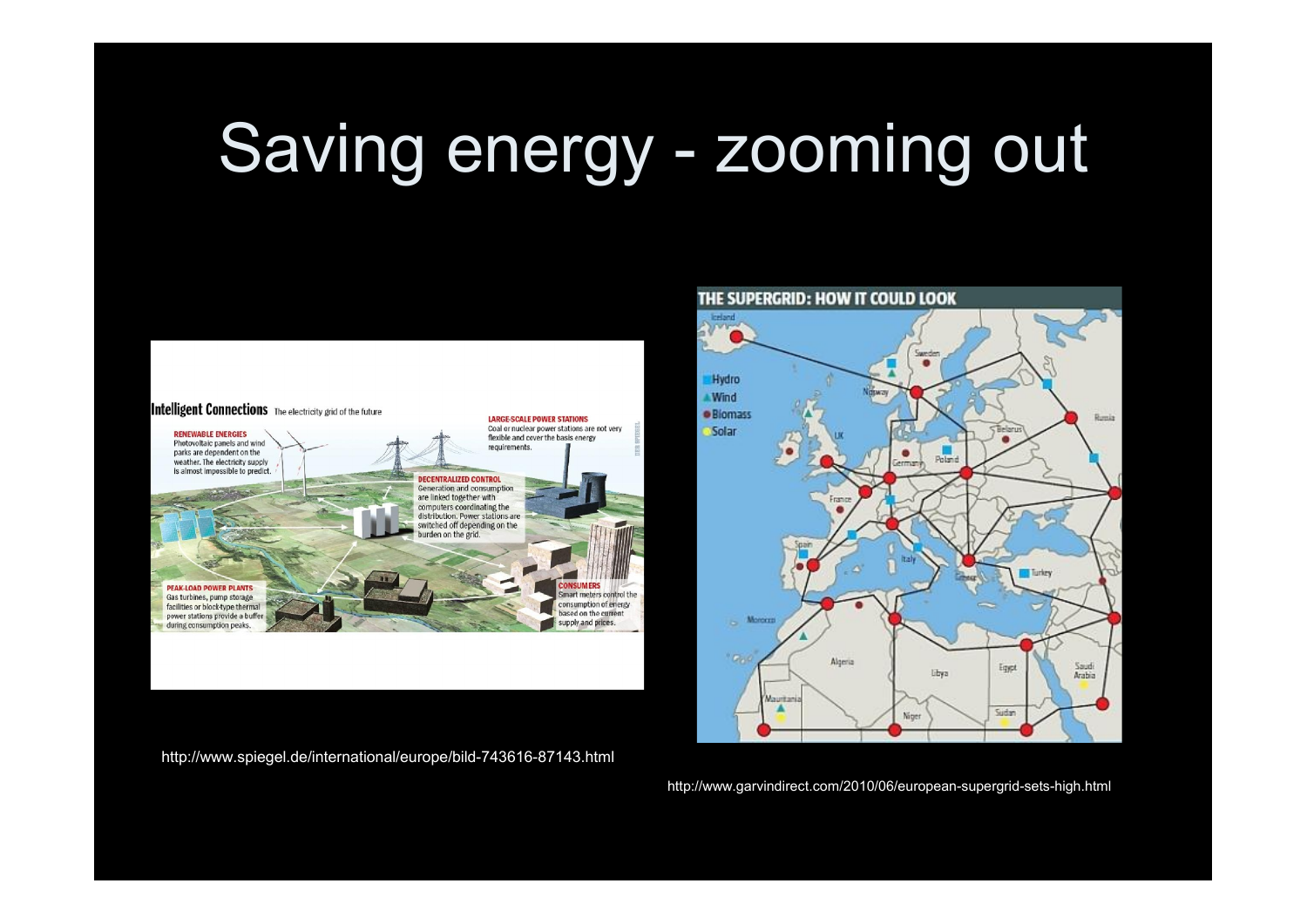# Saving energy - zooming out



http://www.spiegel.de/international/europe/bild-743616-87143.html



http://www.garvindirect.com/2010/06/european-supergrid-sets-high.html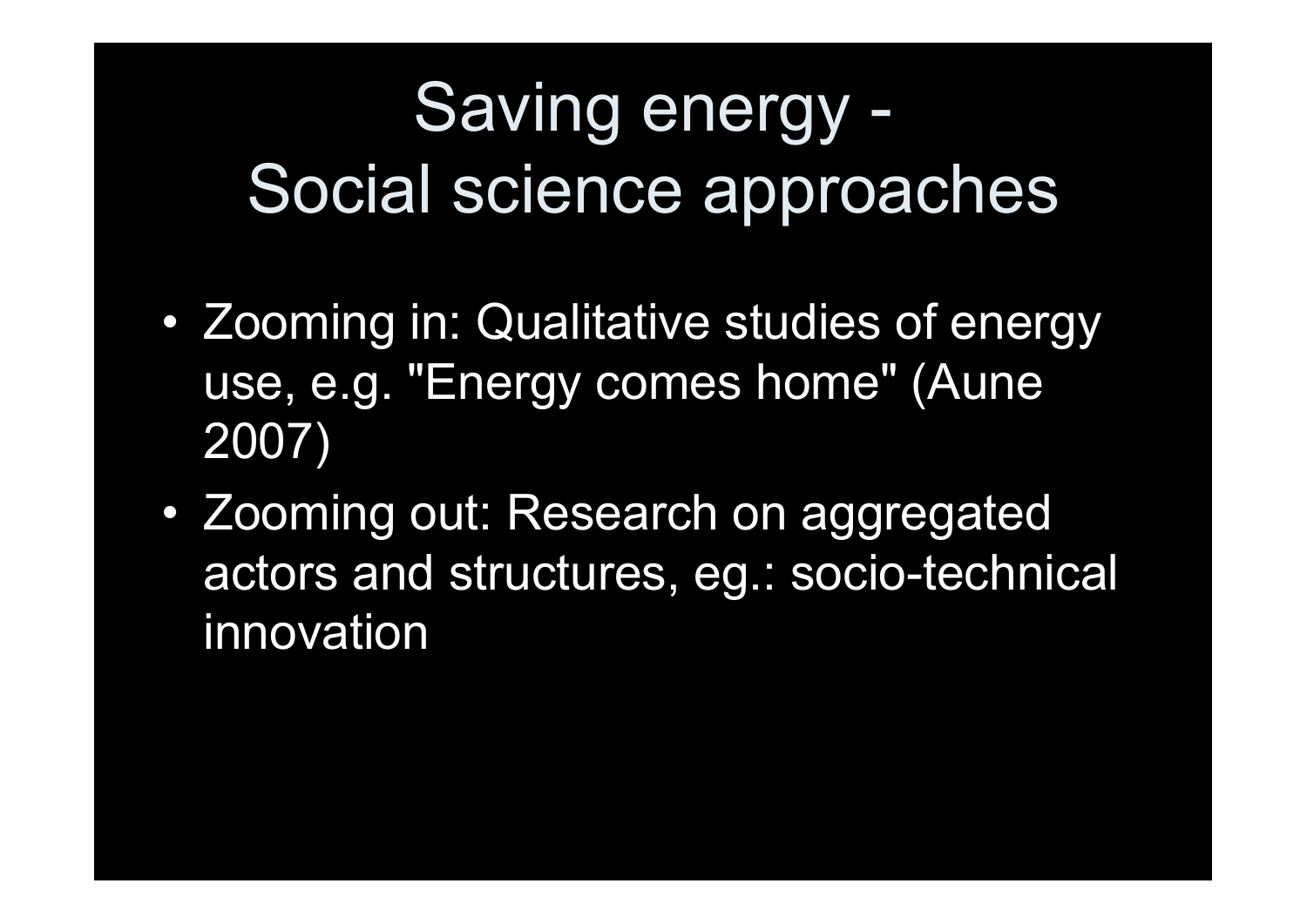# Saving energy - Social science approaches

- Zooming in: Qualitative studies of energy use, e.g. "Energy comes home" (Aune 2007)
- Zooming out: Research on aggregated actors and structures, eg.: socio-technical innovation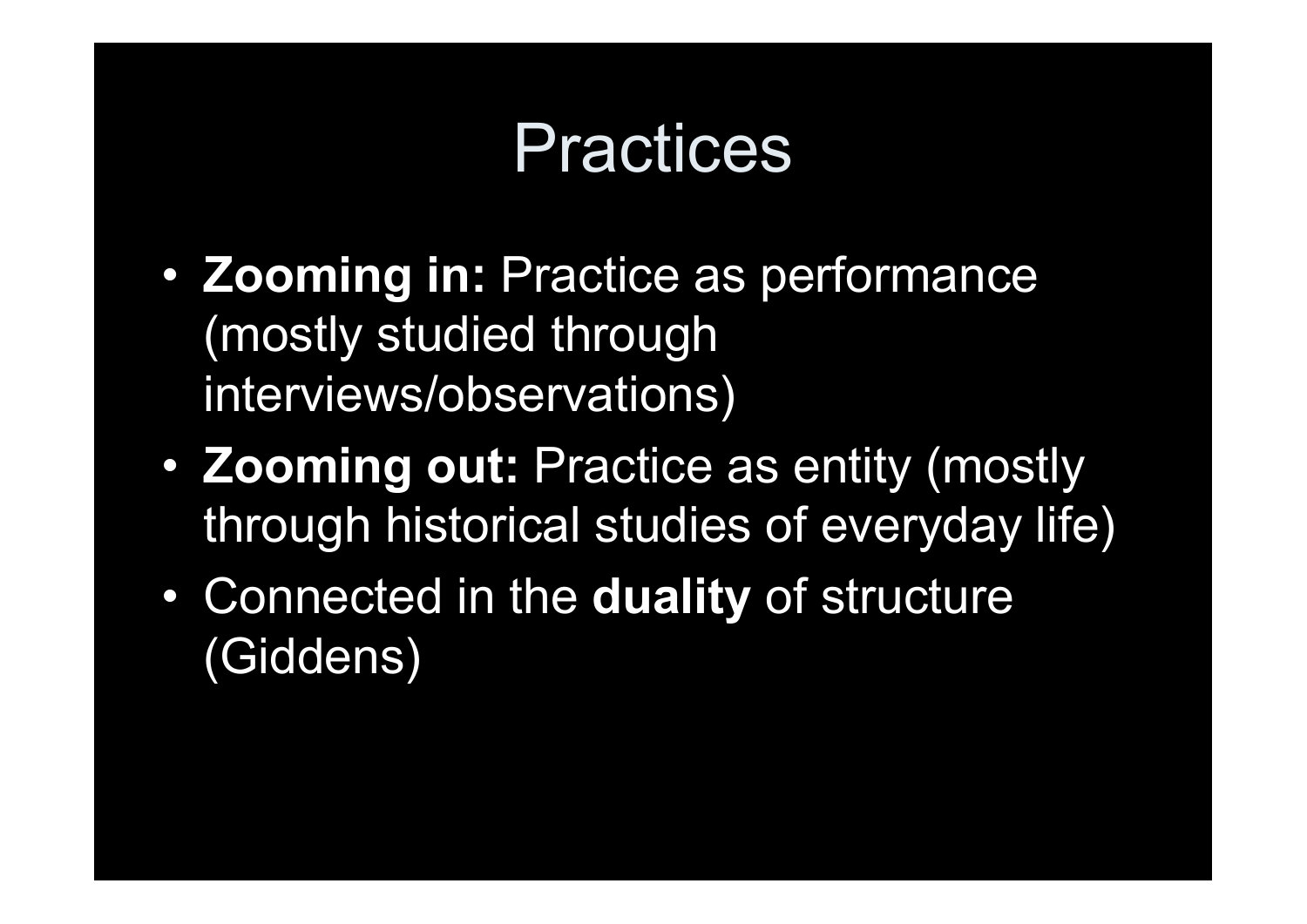### **Practices**

- Zooming in: Practice as performance (mostly studied through interviews/observations)
- Zooming out: Practice as entity (mostly through historical studies of everyday life)
- Connected in the duality of structure (Giddens)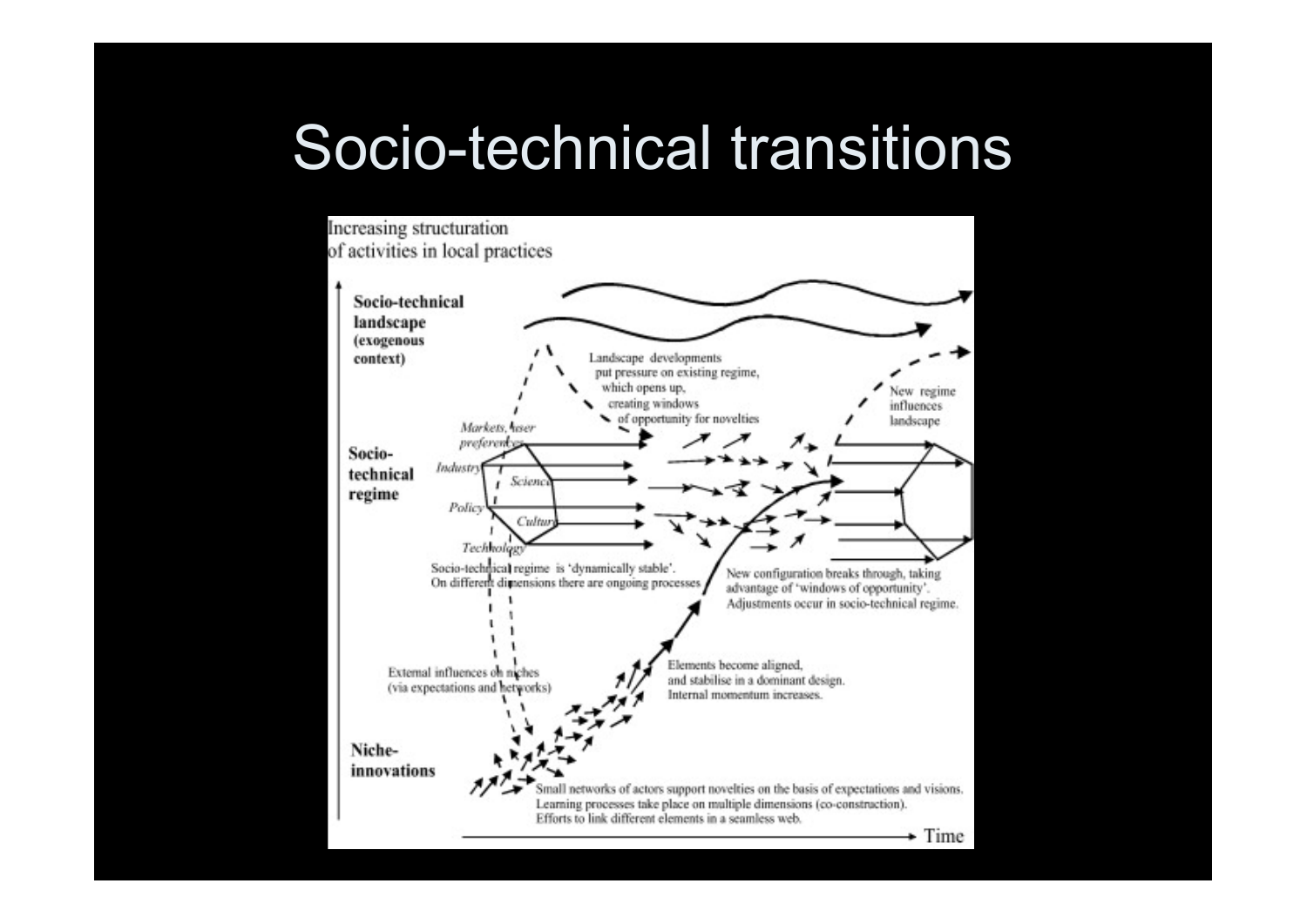#### Socio-technical transitions

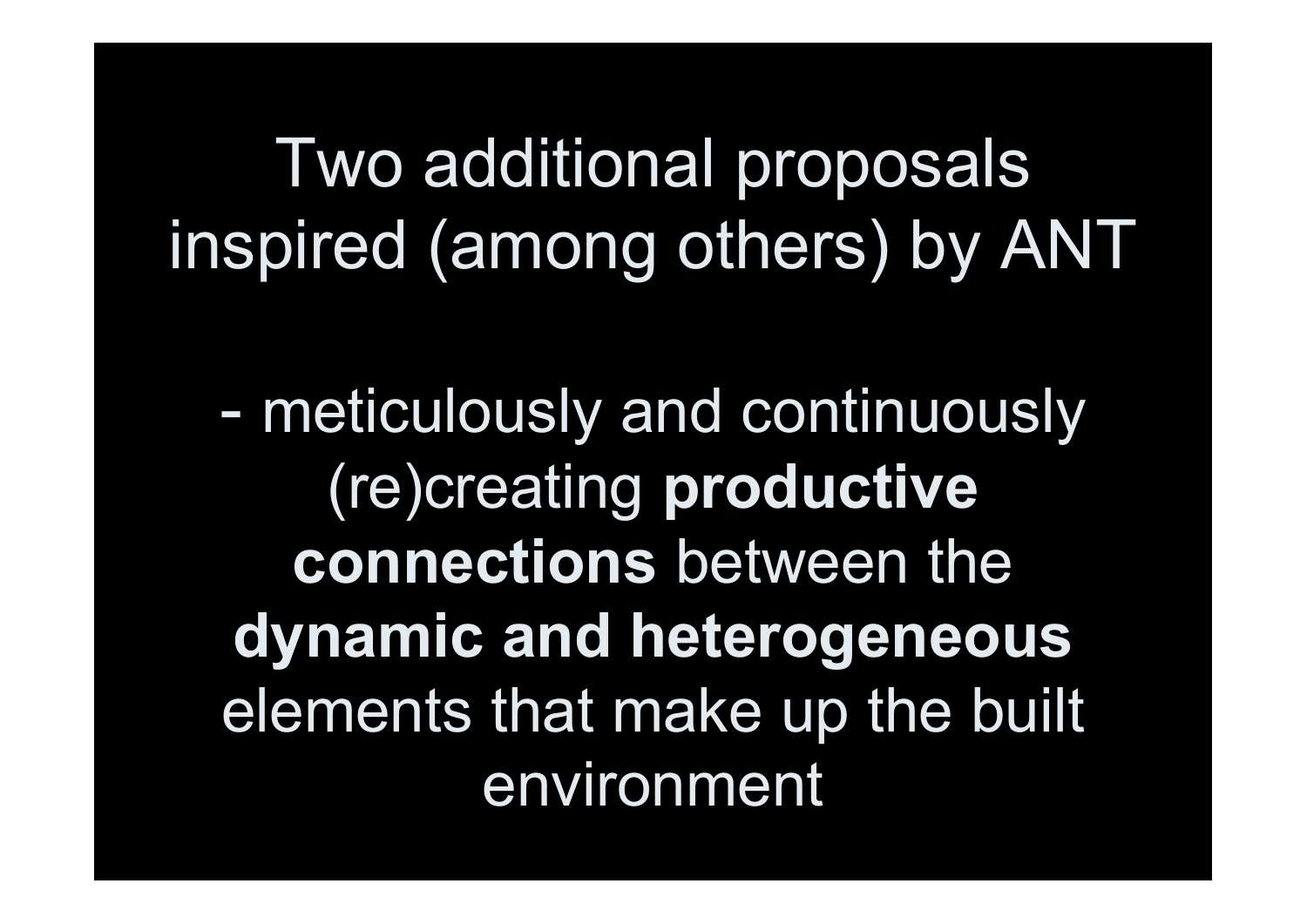# Two additional proposals inspired (among others) by ANT

- meticulously and continuously (re)creating productive connections between the dynamic and heterogeneous elements that make up the built environment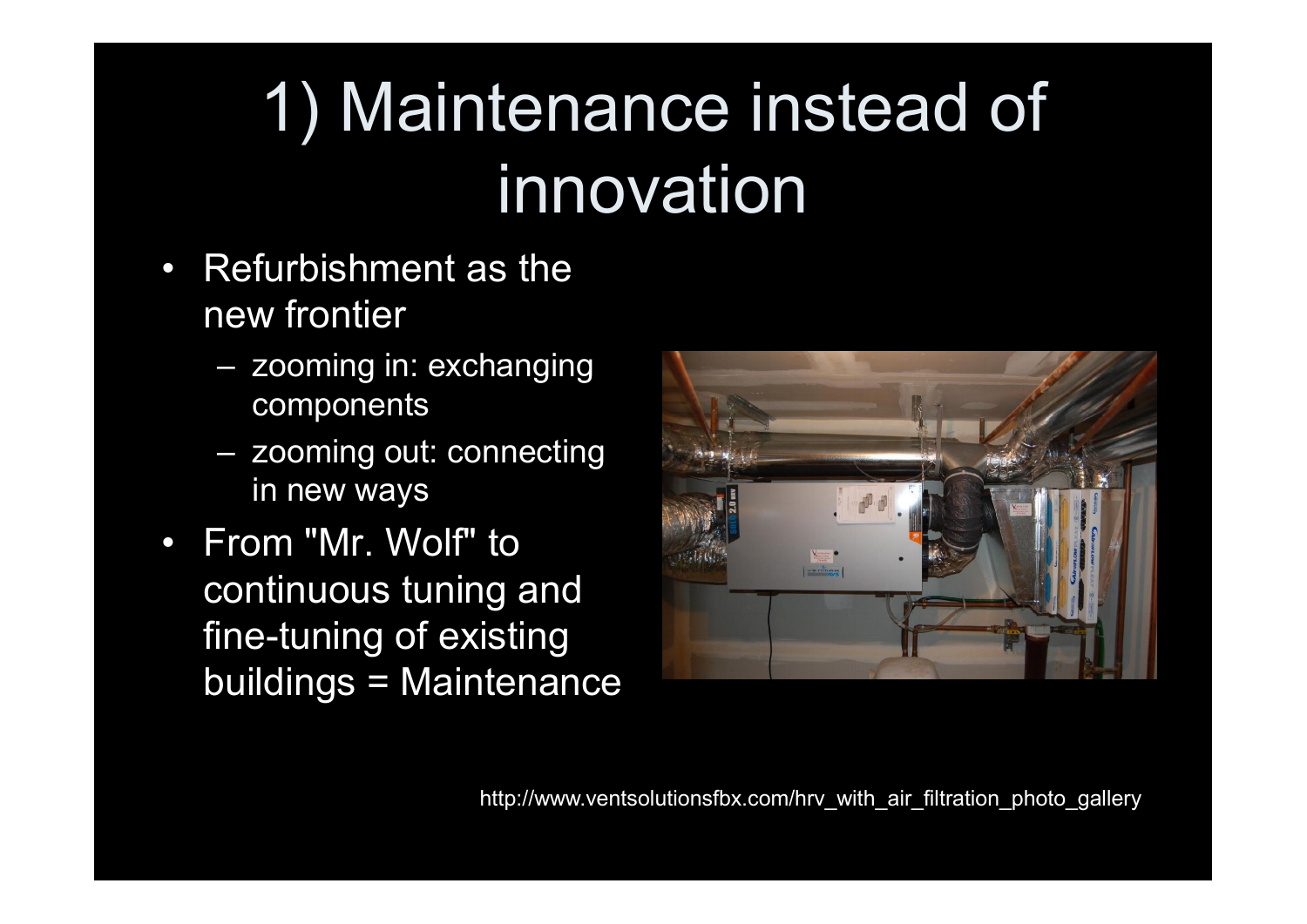# 1) Maintenance instead of innovation

- Refurbishment as the new frontier
	- zooming in: exchanging components
	- zooming out: connecting in new ways
- From "Mr. Wolf" to continuous tuning and fine-tuning of existing buildings = Maintenance

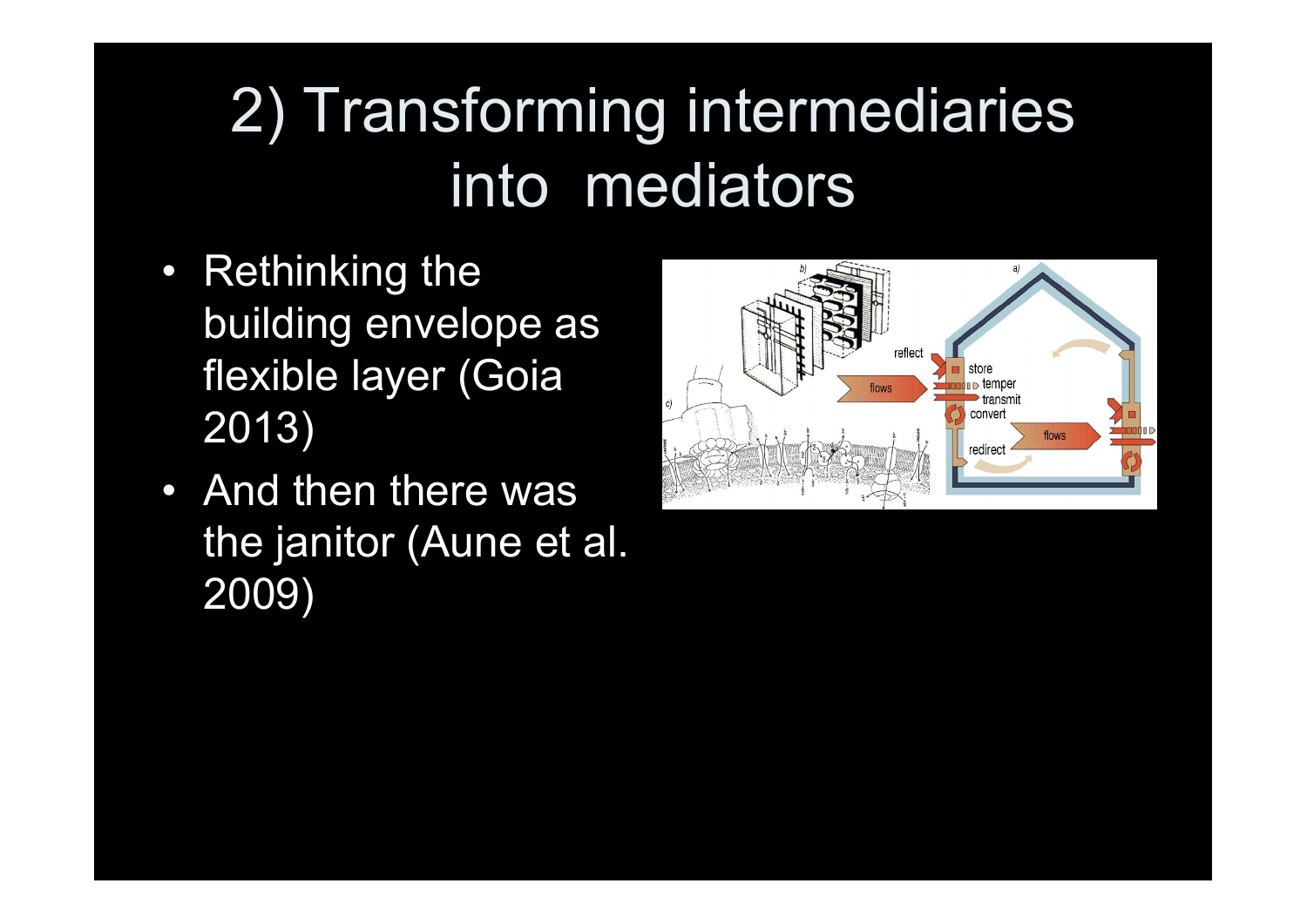## 2) Transforming intermediaries into mediators

- Rethinking the building envelope as flexible layer (Goia 2013)
- And then there was the janitor (Aune et al. 2009)

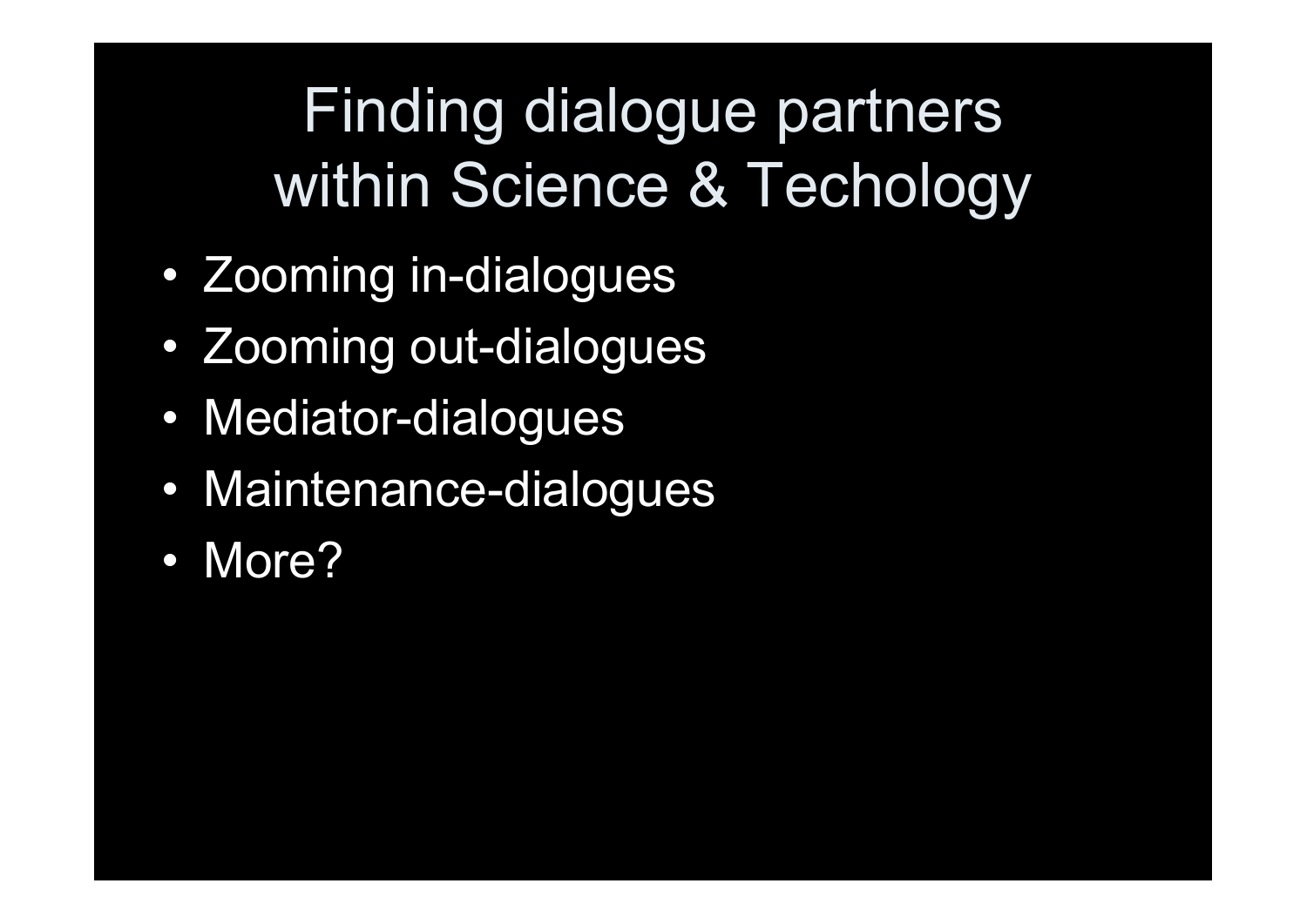## Finding dialogue partners within Science & Techology

- Zooming in-dialogues
- Zooming out-dialogues
- Mediator-dialogues
- Maintenance-dialogues
- More?